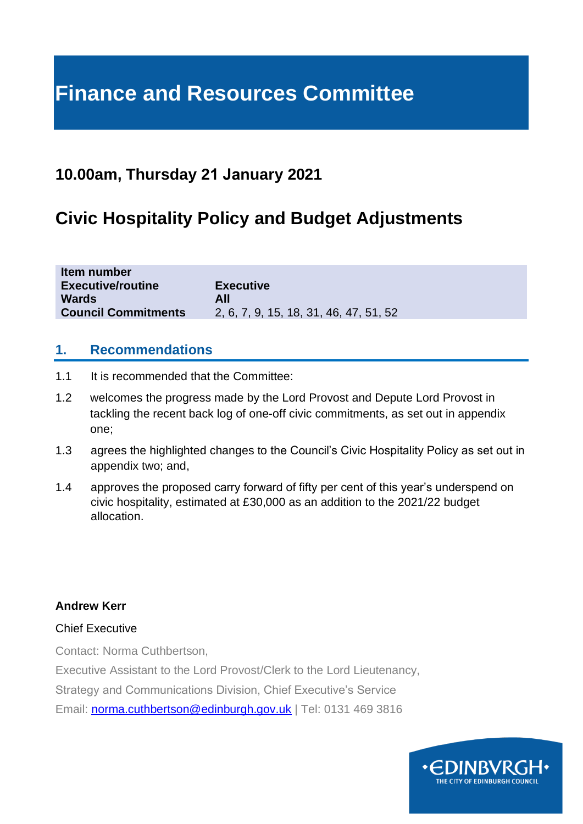# **Finance and Resources Committee**

## **10.00am, Thursday 21 January 2021**

## **Civic Hospitality Policy and Budget Adjustments**

| Item number<br><b>Executive/routine</b> | <b>Executive</b>                       |
|-----------------------------------------|----------------------------------------|
| <b>Wards</b>                            | All                                    |
| <b>Council Commitments</b>              | 2, 6, 7, 9, 15, 18, 31, 46, 47, 51, 52 |

### **1. Recommendations**

- 1.1 It is recommended that the Committee:
- 1.2 welcomes the progress made by the Lord Provost and Depute Lord Provost in tackling the recent back log of one-off civic commitments, as set out in appendix one;
- 1.3 agrees the highlighted changes to the Council's Civic Hospitality Policy as set out in appendix two; and,
- 1.4 approves the proposed carry forward of fifty per cent of this year's underspend on civic hospitality, estimated at £30,000 as an addition to the 2021/22 budget allocation.

#### **Andrew Kerr**

#### Chief Executive

Contact: Norma Cuthbertson,

Executive Assistant to the Lord Provost/Clerk to the Lord Lieutenancy,

Strategy and Communications Division, Chief Executive's Service

Email: [norma.cuthbertson@edinburgh.gov.uk](mailto:norma.cuthbertson@edinburgh.gov.uk) | Tel: 0131 469 3816

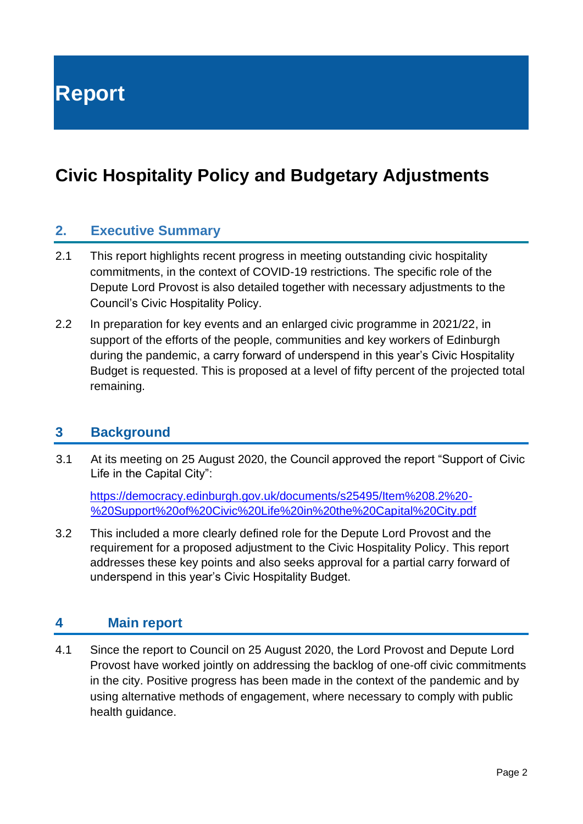**Report**

## **Civic Hospitality Policy and Budgetary Adjustments**

### **2. Executive Summary**

- 2.1 This report highlights recent progress in meeting outstanding civic hospitality commitments, in the context of COVID-19 restrictions. The specific role of the Depute Lord Provost is also detailed together with necessary adjustments to the Council's Civic Hospitality Policy.
- 2.2 In preparation for key events and an enlarged civic programme in 2021/22, in support of the efforts of the people, communities and key workers of Edinburgh during the pandemic, a carry forward of underspend in this year's Civic Hospitality Budget is requested. This is proposed at a level of fifty percent of the projected total remaining.

#### **3 Background**

3.1 At its meeting on 25 August 2020, the Council approved the report "Support of Civic Life in the Capital City":

[https://democracy.edinburgh.gov.uk/documents/s25495/Item%208.2%20-](https://democracy.edinburgh.gov.uk/documents/s25495/Item%208.2%20-%20Support%20of%20Civic%20Life%20in%20the%20Capital%20City.pdf) [%20Support%20of%20Civic%20Life%20in%20the%20Capital%20City.pdf](https://democracy.edinburgh.gov.uk/documents/s25495/Item%208.2%20-%20Support%20of%20Civic%20Life%20in%20the%20Capital%20City.pdf)

3.2 This included a more clearly defined role for the Depute Lord Provost and the requirement for a proposed adjustment to the Civic Hospitality Policy. This report addresses these key points and also seeks approval for a partial carry forward of underspend in this year's Civic Hospitality Budget.

#### **4 Main report**

4.1 Since the report to Council on 25 August 2020, the Lord Provost and Depute Lord Provost have worked jointly on addressing the backlog of one-off civic commitments in the city. Positive progress has been made in the context of the pandemic and by using alternative methods of engagement, where necessary to comply with public health guidance.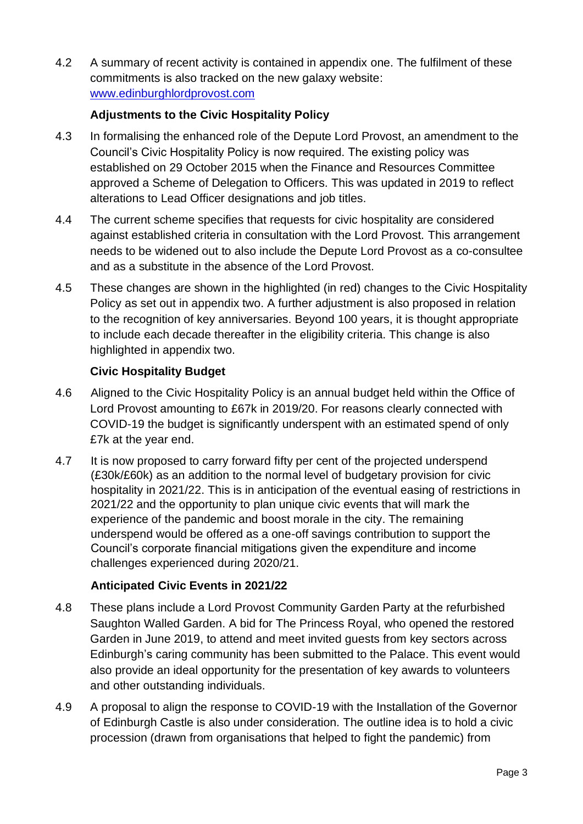4.2 A summary of recent activity is contained in appendix one. The fulfilment of these commitments is also tracked on the new galaxy website: [www.edinburghlordprovost.com](http://www.edinburghlordprovost.com/)

### **Adjustments to the Civic Hospitality Policy**

- 4.3 In formalising the enhanced role of the Depute Lord Provost, an amendment to the Council's Civic Hospitality Policy is now required. The existing policy was established on 29 October 2015 when the Finance and Resources Committee approved a Scheme of Delegation to Officers. This was updated in 2019 to reflect alterations to Lead Officer designations and job titles.
- 4.4 The current scheme specifies that requests for civic hospitality are considered against established criteria in consultation with the Lord Provost. This arrangement needs to be widened out to also include the Depute Lord Provost as a co-consultee and as a substitute in the absence of the Lord Provost.
- 4.5 These changes are shown in the highlighted (in red) changes to the Civic Hospitality Policy as set out in appendix two. A further adjustment is also proposed in relation to the recognition of key anniversaries. Beyond 100 years, it is thought appropriate to include each decade thereafter in the eligibility criteria. This change is also highlighted in appendix two.

### **Civic Hospitality Budget**

- 4.6 Aligned to the Civic Hospitality Policy is an annual budget held within the Office of Lord Provost amounting to £67k in 2019/20. For reasons clearly connected with COVID-19 the budget is significantly underspent with an estimated spend of only £7k at the year end.
- 4.7 It is now proposed to carry forward fifty per cent of the projected underspend (£30k/£60k) as an addition to the normal level of budgetary provision for civic hospitality in 2021/22. This is in anticipation of the eventual easing of restrictions in 2021/22 and the opportunity to plan unique civic events that will mark the experience of the pandemic and boost morale in the city. The remaining underspend would be offered as a one-off savings contribution to support the Council's corporate financial mitigations given the expenditure and income challenges experienced during 2020/21.

### **Anticipated Civic Events in 2021/22**

- 4.8 These plans include a Lord Provost Community Garden Party at the refurbished Saughton Walled Garden. A bid for The Princess Royal, who opened the restored Garden in June 2019, to attend and meet invited guests from key sectors across Edinburgh's caring community has been submitted to the Palace. This event would also provide an ideal opportunity for the presentation of key awards to volunteers and other outstanding individuals.
- 4.9 A proposal to align the response to COVID-19 with the Installation of the Governor of Edinburgh Castle is also under consideration. The outline idea is to hold a civic procession (drawn from organisations that helped to fight the pandemic) from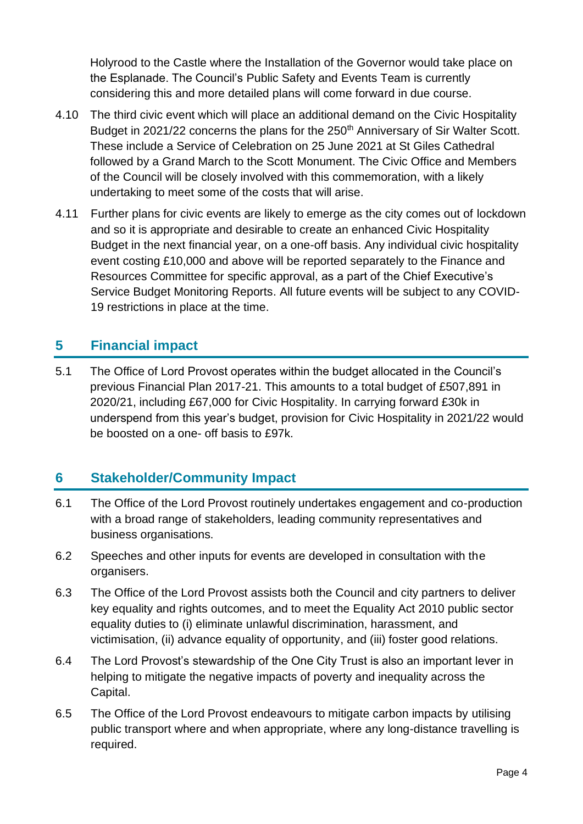Holyrood to the Castle where the Installation of the Governor would take place on the Esplanade. The Council's Public Safety and Events Team is currently considering this and more detailed plans will come forward in due course.

- 4.10 The third civic event which will place an additional demand on the Civic Hospitality Budget in 2021/22 concerns the plans for the 250<sup>th</sup> Anniversary of Sir Walter Scott. These include a Service of Celebration on 25 June 2021 at St Giles Cathedral followed by a Grand March to the Scott Monument. The Civic Office and Members of the Council will be closely involved with this commemoration, with a likely undertaking to meet some of the costs that will arise.
- 4.11 Further plans for civic events are likely to emerge as the city comes out of lockdown and so it is appropriate and desirable to create an enhanced Civic Hospitality Budget in the next financial year, on a one-off basis. Any individual civic hospitality event costing £10,000 and above will be reported separately to the Finance and Resources Committee for specific approval, as a part of the Chief Executive's Service Budget Monitoring Reports. All future events will be subject to any COVID-19 restrictions in place at the time.

### **5 Financial impact**

5.1 The Office of Lord Provost operates within the budget allocated in the Council's previous Financial Plan 2017-21. This amounts to a total budget of £507,891 in 2020/21, including £67,000 for Civic Hospitality. In carrying forward £30k in underspend from this year's budget, provision for Civic Hospitality in 2021/22 would be boosted on a one- off basis to £97k.

### **6 Stakeholder/Community Impact**

- 6.1 The Office of the Lord Provost routinely undertakes engagement and co-production with a broad range of stakeholders, leading community representatives and business organisations.
- 6.2 Speeches and other inputs for events are developed in consultation with the organisers.
- 6.3 The Office of the Lord Provost assists both the Council and city partners to deliver key equality and rights outcomes, and to meet the Equality Act 2010 public sector equality duties to (i) eliminate unlawful discrimination, harassment, and victimisation, (ii) advance equality of opportunity, and (iii) foster good relations.
- 6.4 The Lord Provost's stewardship of the One City Trust is also an important lever in helping to mitigate the negative impacts of poverty and inequality across the Capital.
- 6.5 The Office of the Lord Provost endeavours to mitigate carbon impacts by utilising public transport where and when appropriate, where any long-distance travelling is required.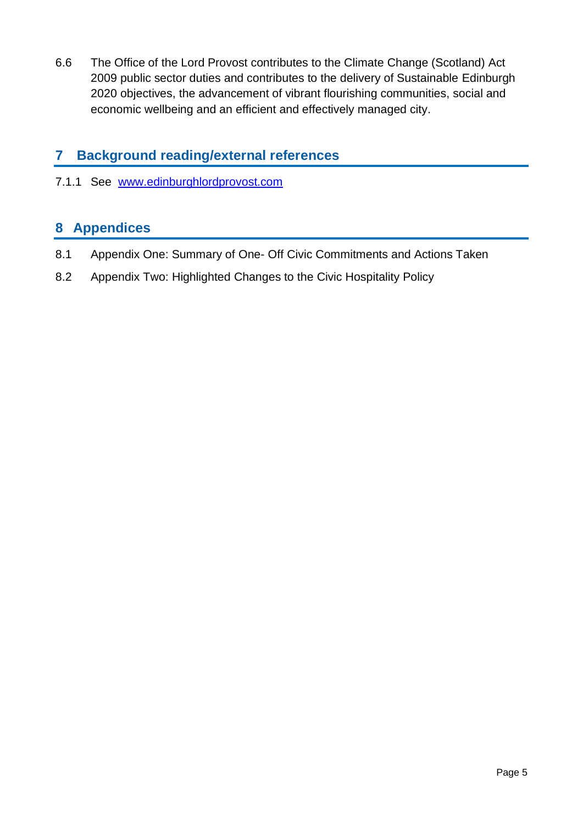6.6 The Office of the Lord Provost contributes to the Climate Change (Scotland) Act 2009 public sector duties and contributes to the delivery of Sustainable Edinburgh 2020 objectives, the advancement of vibrant flourishing communities, social and economic wellbeing and an efficient and effectively managed city.

### **7 Background reading/external references**

7.1.1 See [www.edinburghlordprovost.com](http://www.edinburghlordprovost.com/) 

### **8 Appendices**

- 8.1 Appendix One: Summary of One- Off Civic Commitments and Actions Taken
- 8.2 Appendix Two: Highlighted Changes to the Civic Hospitality Policy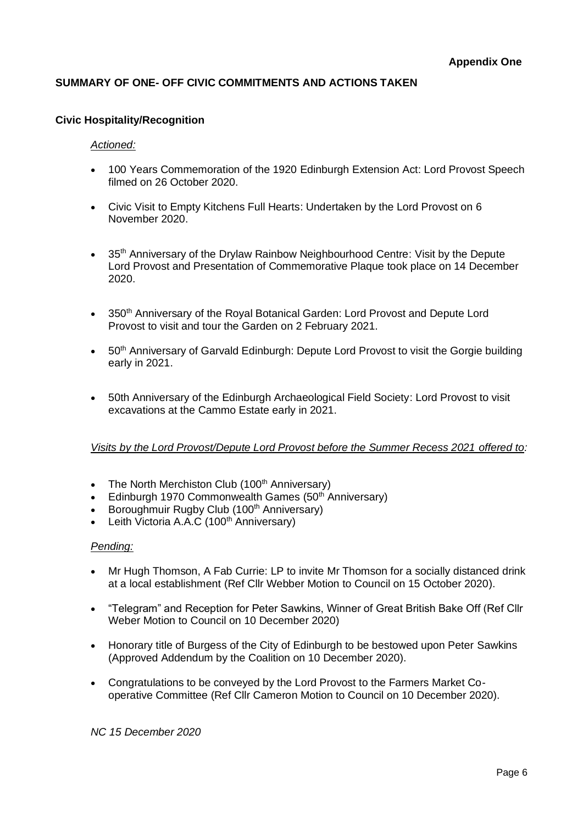#### **SUMMARY OF ONE- OFF CIVIC COMMITMENTS AND ACTIONS TAKEN**

#### **Civic Hospitality/Recognition**

#### *Actioned:*

- 100 Years Commemoration of the 1920 Edinburgh Extension Act: Lord Provost Speech filmed on 26 October 2020.
- Civic Visit to Empty Kitchens Full Hearts: Undertaken by the Lord Provost on 6 November 2020.
- 35<sup>th</sup> Anniversary of the Drylaw Rainbow Neighbourhood Centre: Visit by the Depute Lord Provost and Presentation of Commemorative Plaque took place on 14 December 2020.
- 350th Anniversary of the Royal Botanical Garden: Lord Provost and Depute Lord Provost to visit and tour the Garden on 2 February 2021.
- 50th Anniversary of Garvald Edinburgh: Depute Lord Provost to visit the Gorgie building early in 2021.
- 50th Anniversary of the Edinburgh Archaeological Field Society: Lord Provost to visit excavations at the Cammo Estate early in 2021.

#### *Visits by the Lord Provost/Depute Lord Provost before the Summer Recess 2021 offered to:*

- The North Merchiston Club  $(100<sup>th</sup>$  Anniversary)
- Edinburgh 1970 Commonwealth Games (50<sup>th</sup> Anniversary)
- Boroughmuir Rugby Club (100<sup>th</sup> Anniversary)
- Leith Victoria A.A.C (100<sup>th</sup> Anniversary)

#### *Pending:*

- Mr Hugh Thomson, A Fab Currie: LP to invite Mr Thomson for a socially distanced drink at a local establishment (Ref Cllr Webber Motion to Council on 15 October 2020).
- "Telegram" and Reception for Peter Sawkins, Winner of Great British Bake Off (Ref Cllr Weber Motion to Council on 10 December 2020)
- Honorary title of Burgess of the City of Edinburgh to be bestowed upon Peter Sawkins (Approved Addendum by the Coalition on 10 December 2020).
- Congratulations to be conveyed by the Lord Provost to the Farmers Market Cooperative Committee (Ref Cllr Cameron Motion to Council on 10 December 2020).

*NC 15 December 2020*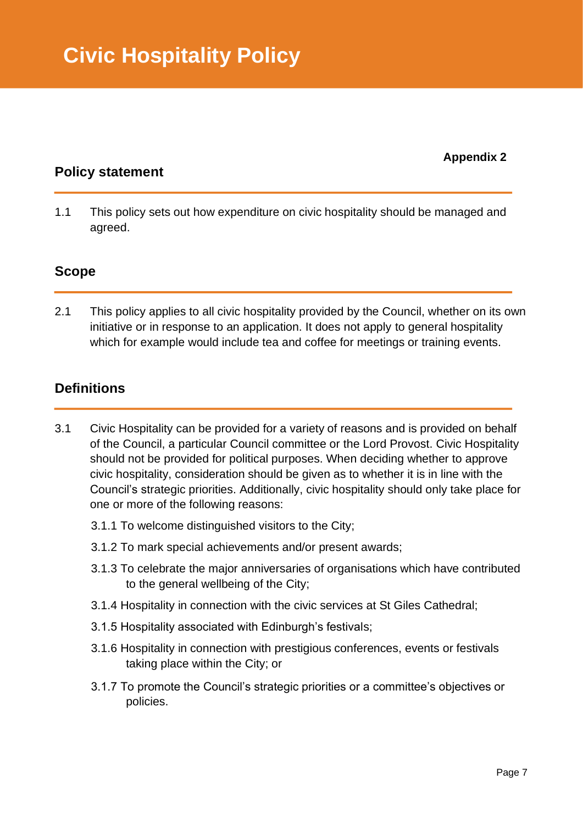**Appendix 2**

### **Policy statement**

1.1 This policy sets out how expenditure on civic hospitality should be managed and agreed.

### **Scope**

2.1 This policy applies to all civic hospitality provided by the Council, whether on its own initiative or in response to an application. It does not apply to general hospitality which for example would include tea and coffee for meetings or training events.

### **Definitions**

- 3.1 Civic Hospitality can be provided for a variety of reasons and is provided on behalf of the Council, a particular Council committee or the Lord Provost. Civic Hospitality should not be provided for political purposes. When deciding whether to approve civic hospitality, consideration should be given as to whether it is in line with the Council's strategic priorities. Additionally, civic hospitality should only take place for one or more of the following reasons:
	- 3.1.1 To welcome distinguished visitors to the City;
	- 3.1.2 To mark special achievements and/or present awards;
	- 3.1.3 To celebrate the major anniversaries of organisations which have contributed to the general wellbeing of the City;
	- 3.1.4 Hospitality in connection with the civic services at St Giles Cathedral;
	- 3.1.5 Hospitality associated with Edinburgh's festivals;
	- 3.1.6 Hospitality in connection with prestigious conferences, events or festivals taking place within the City; or
	- 3.1.7 To promote the Council's strategic priorities or a committee's objectives or policies.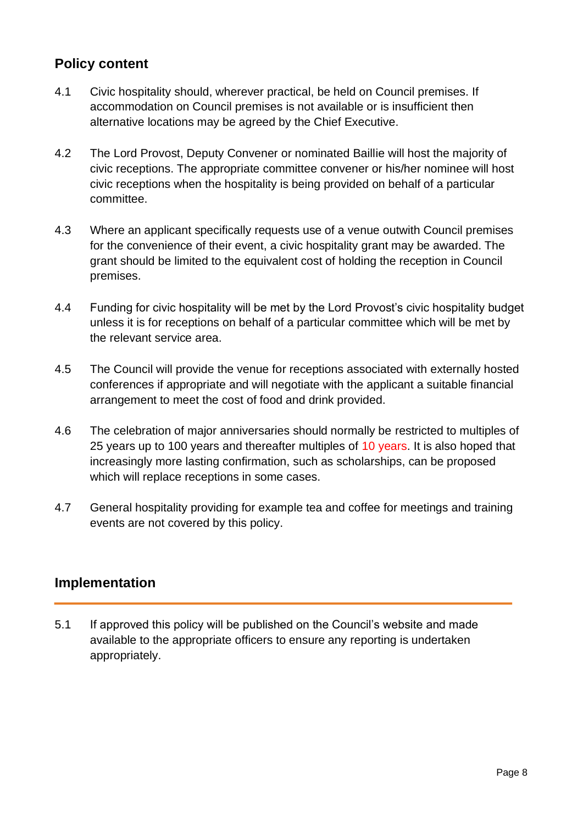### **Policy content**

- 4.1 Civic hospitality should, wherever practical, be held on Council premises. If accommodation on Council premises is not available or is insufficient then alternative locations may be agreed by the Chief Executive.
- 4.2 The Lord Provost, Deputy Convener or nominated Baillie will host the majority of civic receptions. The appropriate committee convener or his/her nominee will host civic receptions when the hospitality is being provided on behalf of a particular committee.
- 4.3 Where an applicant specifically requests use of a venue outwith Council premises for the convenience of their event, a civic hospitality grant may be awarded. The grant should be limited to the equivalent cost of holding the reception in Council premises.
- 4.4 Funding for civic hospitality will be met by the Lord Provost's civic hospitality budget unless it is for receptions on behalf of a particular committee which will be met by the relevant service area.
- 4.5 The Council will provide the venue for receptions associated with externally hosted conferences if appropriate and will negotiate with the applicant a suitable financial arrangement to meet the cost of food and drink provided.
- 4.6 The celebration of major anniversaries should normally be restricted to multiples of 25 years up to 100 years and thereafter multiples of 10 years. It is also hoped that increasingly more lasting confirmation, such as scholarships, can be proposed which will replace receptions in some cases.
- 4.7 General hospitality providing for example tea and coffee for meetings and training events are not covered by this policy.

### **Implementation**

5.1 If approved this policy will be published on the Council's website and made available to the appropriate officers to ensure any reporting is undertaken appropriately.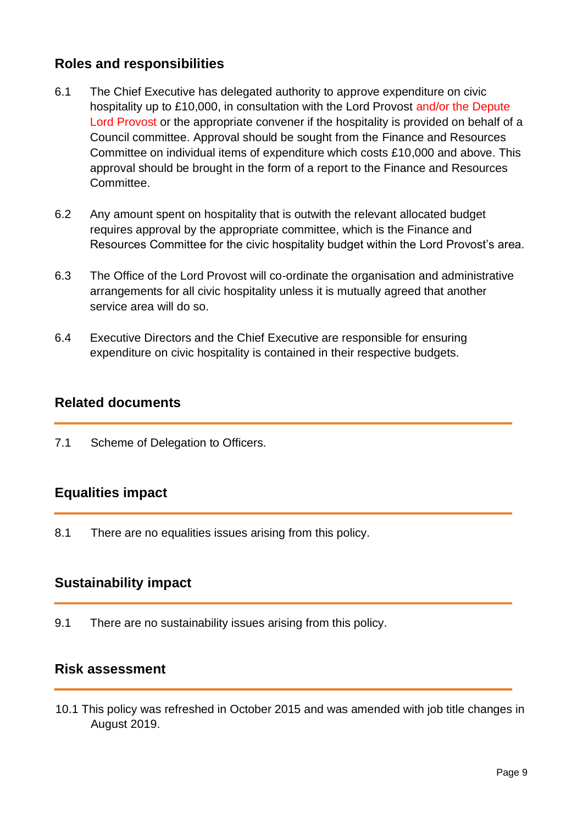### **Roles and responsibilities**

- 6.1 The Chief Executive has delegated authority to approve expenditure on civic hospitality up to £10,000, in consultation with the Lord Provost and/or the Depute Lord Provost or the appropriate convener if the hospitality is provided on behalf of a Council committee. Approval should be sought from the Finance and Resources Committee on individual items of expenditure which costs £10,000 and above. This approval should be brought in the form of a report to the Finance and Resources Committee.
- 6.2 Any amount spent on hospitality that is outwith the relevant allocated budget requires approval by the appropriate committee, which is the Finance and Resources Committee for the civic hospitality budget within the Lord Provost's area.
- 6.3 The Office of the Lord Provost will co-ordinate the organisation and administrative arrangements for all civic hospitality unless it is mutually agreed that another service area will do so.
- 6.4 Executive Directors and the Chief Executive are responsible for ensuring expenditure on civic hospitality is contained in their respective budgets.

### **Related documents**

7.1 Scheme of Delegation to Officers.

### **Equalities impact**

8.1 There are no equalities issues arising from this policy.

### **Sustainability impact**

9.1 There are no sustainability issues arising from this policy.

### **Risk assessment**

10.1 This policy was refreshed in October 2015 and was amended with job title changes in August 2019.